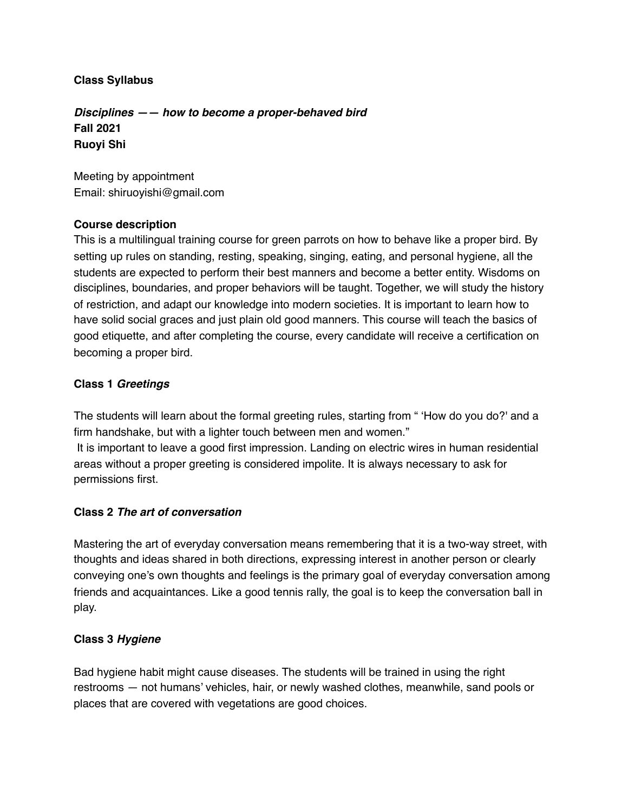### **Class Syllabus**

*Disciplines —— how to become a proper-behaved bird* **Fall 2021 Ruoyi Shi**

Meeting by appointment Email: shiruoyishi@gmail.com

### **Course description**

This is a multilingual training course for green parrots on how to behave like a proper bird. By setting up rules on standing, resting, speaking, singing, eating, and personal hygiene, all the students are expected to perform their best manners and become a better entity. Wisdoms on disciplines, boundaries, and proper behaviors will be taught. Together, we will study the history of restriction, and adapt our knowledge into modern societies. It is important to learn how to have solid social graces and just plain old good manners. This course will teach the basics of good etiquette, and after completing the course, every candidate will receive a certification on becoming a proper bird.

### **Class 1** *Greetings*

The students will learn about the formal greeting rules, starting from " 'How do you do?' and a firm handshake, but with a lighter touch between men and women."

 It is important to leave a good first impression. Landing on electric wires in human residential areas without a proper greeting is considered impolite. It is always necessary to ask for permissions first.

## **Class 2** *The art of conversation*

Mastering the art of everyday conversation means remembering that it is a two-way street, with thoughts and ideas shared in both directions, expressing interest in another person or clearly conveying one's own thoughts and feelings is the primary goal of everyday conversation among friends and acquaintances. Like a good tennis rally, the goal is to keep the conversation ball in play.

## **Class 3** *Hygiene*

Bad hygiene habit might cause diseases. The students will be trained in using the right restrooms — not humans' vehicles, hair, or newly washed clothes, meanwhile, sand pools or places that are covered with vegetations are good choices.